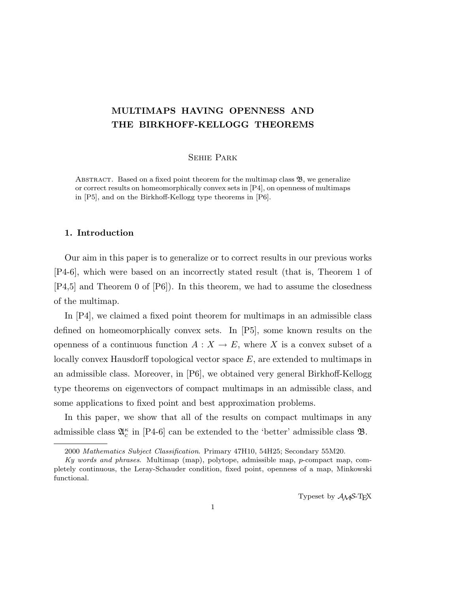# MULTIMAPS HAVING OPENNESS AND THE BIRKHOFF-KELLOGG THEOREMS

### Sehie Park

ABSTRACT. Based on a fixed point theorem for the multimap class  $\mathfrak{B}$ , we generalize or correct results on homeomorphically convex sets in [P4], on openness of multimaps in [P5], and on the Birkhoff-Kellogg type theorems in [P6].

#### 1. Introduction

Our aim in this paper is to generalize or to correct results in our previous works [P4-6], which were based on an incorrectly stated result (that is, Theorem 1 of [P4,5] and Theorem 0 of [P6]). In this theorem, we had to assume the closedness of the multimap.

In [P4], we claimed a fixed point theorem for multimaps in an admissible class defined on homeomorphically convex sets. In [P5], some known results on the openness of a continuous function  $A: X \to E$ , where X is a convex subset of a locally convex Hausdorff topological vector space  $E$ , are extended to multimaps in an admissible class. Moreover, in [P6], we obtained very general Birkhoff-Kellogg type theorems on eigenvectors of compact multimaps in an admissible class, and some applications to fixed point and best approximation problems.

In this paper, we show that all of the results on compact multimaps in any admissible class  $\mathfrak{A}_{c}^{\kappa}$  in [P4-6] can be extended to the 'better' admissible class  $\mathfrak{B}$ .

Typeset by  $\mathcal{A}_{\mathcal{M}}\mathcal{S}\text{-}\mathrm{Tr}X$ 

<sup>2000</sup> Mathematics Subject Classification. Primary 47H10, 54H25; Secondary 55M20.

Ky words and phrases. Multimap (map), polytope, admissible map, p-compact map, completely continuous, the Leray-Schauder condition, fixed point, openness of a map, Minkowski functional.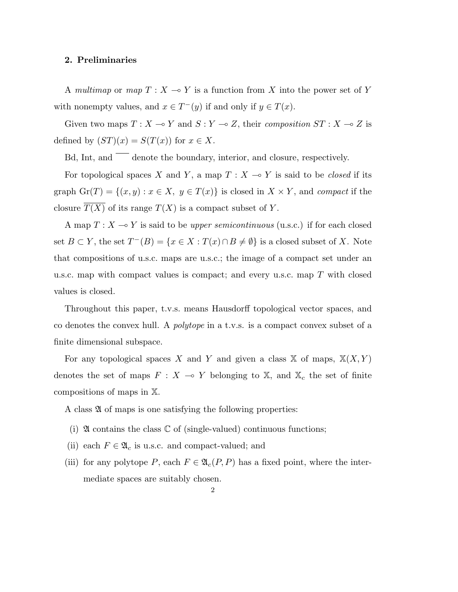#### 2. Preliminaries

A multimap or map  $T : X \to Y$  is a function from X into the power set of Y with nonempty values, and  $x \in T^-(y)$  if and only if  $y \in T(x)$ .

Given two maps  $T : X \multimap Y$  and  $S : Y \multimap Z$ , their composition  $ST : X \multimap Z$  is defined by  $(ST)(x) = S(T(x))$  for  $x \in X$ .

Bd, Int, and denote the boundary, interior, and closure, respectively.

For topological spaces X and Y, a map  $T : X \multimap Y$  is said to be *closed* if its graph  $\mathrm{Gr}(T) = \{(x, y) : x \in X, y \in T(x)\}\$ is closed in  $X \times Y$ , and *compact* if the closure  $\overline{T(X)}$  of its range  $T(X)$  is a compact subset of Y.

A map  $T : X \longrightarrow Y$  is said to be *upper semicontinuous* (u.s.c.) if for each closed set  $B \subset Y$ , the set  $T^{-}(B) = \{x \in X : T(x) \cap B \neq \emptyset\}$  is a closed subset of X. Note that compositions of u.s.c. maps are u.s.c.; the image of a compact set under an u.s.c. map with compact values is compact; and every u.s.c. map  $T$  with closed values is closed.

Throughout this paper, t.v.s. means Hausdorff topological vector spaces, and co denotes the convex hull. A polytope in a t.v.s. is a compact convex subset of a finite dimensional subspace.

For any topological spaces X and Y and given a class X of maps,  $X(X, Y)$ denotes the set of maps  $F : X \multimap Y$  belonging to X, and  $\mathbb{X}_c$  the set of finite compositions of maps in X.

A class  $\mathfrak A$  of maps is one satisfying the following properties:

- (i)  $\mathfrak A$  contains the class  $\mathbb C$  of (single-valued) continuous functions;
- (ii) each  $F \in \mathfrak{A}_c$  is u.s.c. and compact-valued; and
- (iii) for any polytope P, each  $F \in \mathfrak{A}_c(P, P)$  has a fixed point, where the intermediate spaces are suitably chosen.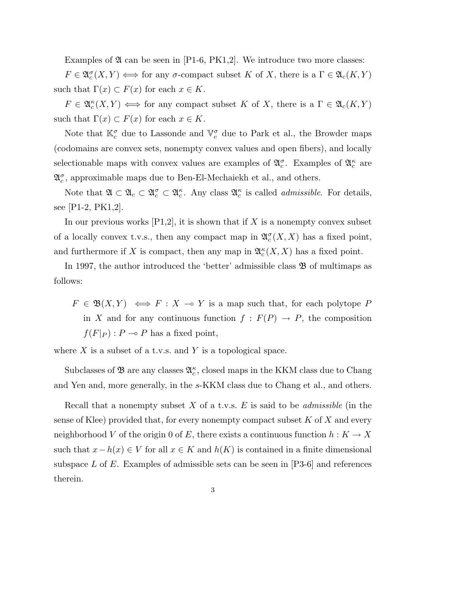Examples of  $\mathfrak A$  can be seen in [P1-6, PK1,2]. We introduce two more classes:

 $F \in \mathfrak{A}_c^{\sigma}(X,Y) \Longleftrightarrow$  for any  $\sigma$ -compact subset K of X, there is a  $\Gamma \in \mathfrak{A}_c(K,Y)$ such that  $\Gamma(x) \subset F(x)$  for each  $x \in K$ .

 $F \in \mathfrak{A}_{c}^{\kappa}(X,Y) \iff \text{for any compact subset } K \text{ of } X, \text{ there is a } \Gamma \in \mathfrak{A}_{c}(K,Y)$ such that  $\Gamma(x) \subset F(x)$  for each  $x \in K$ .

Note that  $\mathbb{K}_{c}^{\sigma}$  due to Lassonde and  $\mathbb{V}_{c}^{\sigma}$  due to Park et al., the Browder maps (codomains are convex sets, nonempty convex values and open fibers), and locally selectionable maps with convex values are examples of  $\mathfrak{A}_{c}^{\sigma}$ . Examples of  $\mathfrak{A}_{c}^{\kappa}$  are  $\mathfrak{A}^{\sigma}_{c}$ , approximable maps due to Ben-El-Mechaiekh et al., and others.

Note that  $\mathfrak{A} \subset \mathfrak{A}_c \subset \mathfrak{A}_c^{\sigma} \subset \mathfrak{A}_c^{\kappa}$ . Any class  $\mathfrak{A}_c^{\kappa}$  is called *admissible*. For details, see [P1-2, PK1,2].

In our previous works  $[P1,2]$ , it is shown that if X is a nonempty convex subset of a locally convex t.v.s., then any compact map in  $\mathfrak{A}_{c}^{\sigma}(X,X)$  has a fixed point, and furthermore if X is compact, then any map in  $\mathfrak{A}_{c}^{\kappa}(X,X)$  has a fixed point.

In 1997, the author introduced the 'better' admissible class  $\mathfrak{B}$  of multimaps as follows:

 $F \in \mathfrak{B}(X,Y) \iff F : X \multimap Y$  is a map such that, for each polytope P in X and for any continuous function  $f : F(P) \to P$ , the composition  $f(F|_P)$ :  $P \multimap P$  has a fixed point,

where  $X$  is a subset of a t.v.s. and Y is a topological space.

Subclasses of  $\mathfrak B$  are any classes  $\mathfrak A_c^{\kappa}$ , closed maps in the KKM class due to Chang and Yen and, more generally, in the s-KKM class due to Chang et al., and others.

Recall that a nonempty subset X of a t.v.s.  $E$  is said to be *admissible* (in the sense of Klee) provided that, for every nonempty compact subset  $K$  of  $X$  and every neighborhood V of the origin 0 of E, there exists a continuous function  $h: K \to X$ such that  $x - h(x) \in V$  for all  $x \in K$  and  $h(K)$  is contained in a finite dimensional subspace  $L$  of  $E$ . Examples of admissible sets can be seen in [P3-6] and references therein.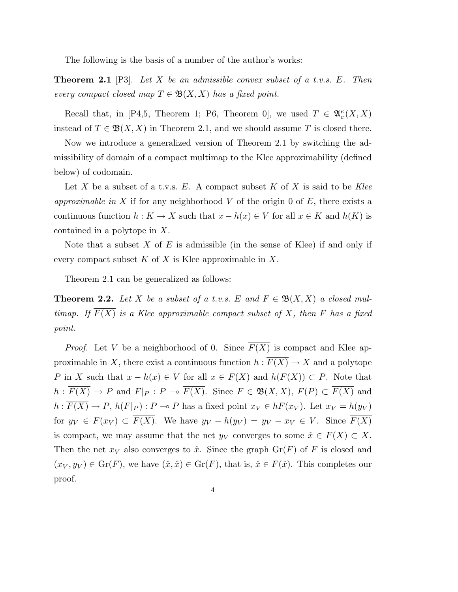The following is the basis of a number of the author's works:

**Theorem 2.1** [P3]. Let X be an admissible convex subset of a t.v.s. E. Then every compact closed map  $T \in \mathfrak{B}(X,X)$  has a fixed point.

Recall that, in [P4,5, Theorem 1; P6, Theorem 0], we used  $T \in \mathfrak{A}_{c}^{\kappa}(X,X)$ instead of  $T \in \mathfrak{B}(X,X)$  in Theorem 2.1, and we should assume T is closed there.

Now we introduce a generalized version of Theorem 2.1 by switching the admissibility of domain of a compact multimap to the Klee approximability (defined below) of codomain.

Let X be a subset of a t.v.s. E. A compact subset K of X is said to be Klee approximable in X if for any neighborhood V of the origin 0 of  $E$ , there exists a continuous function  $h: K \to X$  such that  $x - h(x) \in V$  for all  $x \in K$  and  $h(K)$  is contained in a polytope in X.

Note that a subset  $X$  of  $E$  is admissible (in the sense of Klee) if and only if every compact subset K of X is Klee approximable in X.

Theorem 2.1 can be generalized as follows:

**Theorem 2.2.** Let X be a subset of a t.v.s. E and  $F \in \mathfrak{B}(X,X)$  a closed multimap. If  $\overline{F(X)}$  is a Klee approximable compact subset of X, then F has a fixed point.

*Proof.* Let V be a neighborhood of 0. Since  $\overline{F(X)}$  is compact and Klee approximable in X, there exist a continuous function  $h : \overline{F(X)} \to X$  and a polytope P in X such that  $x - h(x) \in V$  for all  $x \in \overline{F(X)}$  and  $h(\overline{F(X)}) \subset P$ . Note that  $h : \overline{F(X)} \to P$  and  $F|_P : P \to \overline{F(X)}$ . Since  $F \in \mathfrak{B}(X, X), F(P) \subset \overline{F(X)}$  and  $h: \overline{F(X)} \to P$ ,  $h(F|_P)$  :  $P \to P$  has a fixed point  $x_V \in hF(x_V)$ . Let  $x_V = h(y_V)$ for  $y_V \in F(x_V) \subset \overline{F(X)}$ . We have  $y_V - h(y_V) = y_V - x_V \in V$ . Since  $\overline{F(X)}$ is compact, we may assume that the net  $y_V$  converges to some  $\hat{x} \in F(X) \subset X$ . Then the net  $x_V$  also converges to  $\hat{x}$ . Since the graph  $\text{Gr}(F)$  of F is closed and  $(x_V, y_V) \in \text{Gr}(F)$ , we have  $(\hat{x}, \hat{x}) \in \text{Gr}(F)$ , that is,  $\hat{x} \in F(\hat{x})$ . This completes our proof.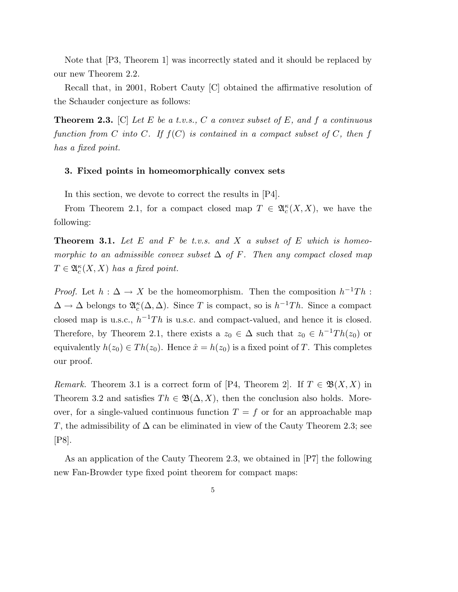Note that [P3, Theorem 1] was incorrectly stated and it should be replaced by our new Theorem 2.2.

Recall that, in 2001, Robert Cauty [C] obtained the affirmative resolution of the Schauder conjecture as follows:

**Theorem 2.3.** [C] Let E be a t.v.s., C a convex subset of E, and f a continuous function from C into C. If  $f(C)$  is contained in a compact subset of C, then f has a fixed point.

#### 3. Fixed points in homeomorphically convex sets

In this section, we devote to correct the results in [P4].

From Theorem 2.1, for a compact closed map  $T \in \mathfrak{A}_{c}^{\kappa}(X,X)$ , we have the following:

**Theorem 3.1.** Let  $E$  and  $F$  be t.v.s. and  $X$  a subset of  $E$  which is homeomorphic to an admissible convex subset  $\Delta$  of F. Then any compact closed map  $T \in \mathfrak{A}_{c}^{\kappa}(X,X)$  has a fixed point.

*Proof.* Let  $h : \Delta \to X$  be the homeomorphism. Then the composition  $h^{-1}Th$ :  $\Delta \to \Delta$  belongs to  $\mathfrak{A}_{c}^{\kappa}(\Delta, \Delta)$ . Since T is compact, so is  $h^{-1}Th$ . Since a compact closed map is u.s.c.,  $h^{-1}Th$  is u.s.c. and compact-valued, and hence it is closed. Therefore, by Theorem 2.1, there exists a  $z_0 \in \Delta$  such that  $z_0 \in h^{-1}Th(z_0)$  or equivalently  $h(z_0) \in Th(z_0)$ . Hence  $\hat{x} = h(z_0)$  is a fixed point of T. This completes our proof.

Remark. Theorem 3.1 is a correct form of [P4, Theorem 2]. If  $T \in \mathfrak{B}(X,X)$  in Theorem 3.2 and satisfies  $Th \in \mathfrak{B}(\Delta, X)$ , then the conclusion also holds. Moreover, for a single-valued continuous function  $T = f$  or for an approachable map T, the admissibility of  $\Delta$  can be eliminated in view of the Cauty Theorem 2.3; see [P8].

As an application of the Cauty Theorem 2.3, we obtained in [P7] the following new Fan-Browder type fixed point theorem for compact maps: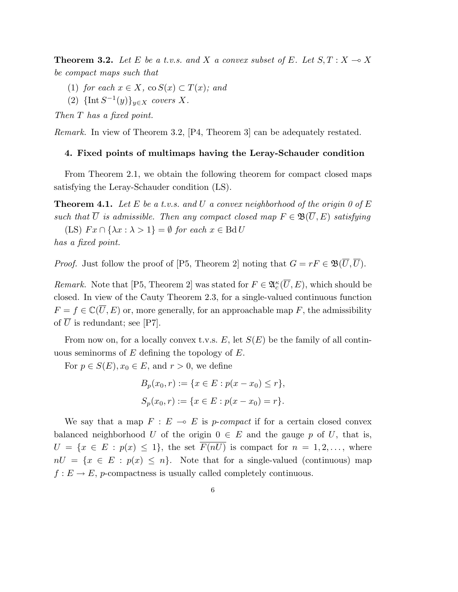**Theorem 3.2.** Let E be a t.v.s. and X a convex subset of E. Let  $S, T : X \rightarrow X$ be compact maps such that

- (1) for each  $x \in X$ , co  $S(x) \subset T(x)$ ; and
- (2)  $\{\text{Int}\,S^{-1}(y)\}_{y\in X}$  covers X.

Then T has a fixed point.

Remark. In view of Theorem 3.2, [P4, Theorem 3] can be adequately restated.

#### 4. Fixed points of multimaps having the Leray-Schauder condition

From Theorem 2.1, we obtain the following theorem for compact closed maps satisfying the Leray-Schauder condition (LS).

**Theorem 4.1.** Let E be a t.v.s. and U a convex neighborhood of the origin 0 of E such that  $\overline{U}$  is admissible. Then any compact closed map  $F \in \mathfrak{B}(\overline{U}, E)$  satisfying

(LS)  $Fx \cap {\lambda x : \lambda > 1} = \emptyset$  for each  $x \in \text{Bd} U$ has a fixed point.

*Proof.* Just follow the proof of [P5, Theorem 2] noting that  $G = rF \in \mathfrak{B}(\overline{U}, \overline{U})$ .

Remark. Note that [P5, Theorem 2] was stated for  $F \in \mathfrak{A}_{c}^{\kappa}(\overline{U},E)$ , which should be closed. In view of the Cauty Theorem 2.3, for a single-valued continuous function  $F = f \in \mathbb{C}(\overline{U}, E)$  or, more generally, for an approachable map F, the admissibility of  $\overline{U}$  is redundant; see [P7].

From now on, for a locally convex t.v.s. E, let  $S(E)$  be the family of all continuous seminorms of  $E$  defining the topology of  $E$ .

For  $p \in S(E)$ ,  $x_0 \in E$ , and  $r > 0$ , we define

$$
B_p(x_0, r) := \{x \in E : p(x - x_0) \le r\},\
$$
  

$$
S_p(x_0, r) := \{x \in E : p(x - x_0) = r\}.
$$

We say that a map  $F : E \multimap E$  is p-compact if for a certain closed convex balanced neighborhood U of the origin  $0 \in E$  and the gauge p of U, that is,  $U = \{x \in E : p(x) \leq 1\}$ , the set  $\overline{F(nU)}$  is compact for  $n = 1, 2, \ldots$ , where  $nU = \{x \in E : p(x) \leq n\}.$  Note that for a single-valued (continuous) map  $f: E \to E$ , p-compactness is usually called completely continuous.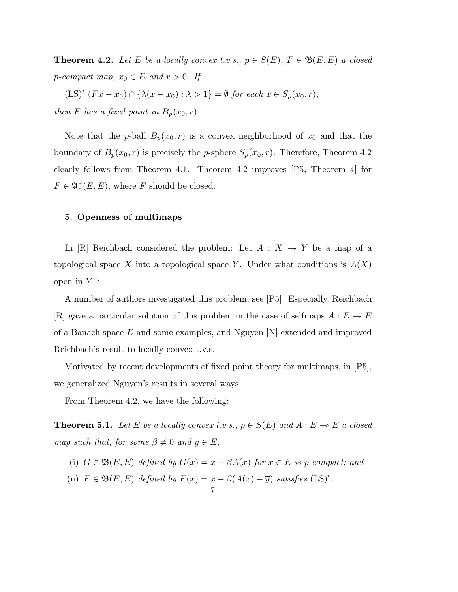**Theorem 4.2.** Let E be a locally convex t.v.s.,  $p \in S(E)$ ,  $F \in \mathfrak{B}(E, E)$  a closed p-compact map,  $x_0 \in E$  and  $r > 0$ . If

(LS)'  $(Fx - x_0) \cap {\lambda(x - x_0) : \lambda > 1} = \emptyset$  for each  $x \in S_p(x_0, r)$ , then F has a fixed point in  $B_p(x_0, r)$ .

Note that the p-ball  $B_p(x_0, r)$  is a convex neighborhood of  $x_0$  and that the boundary of  $B_p(x_0, r)$  is precisely the *p*-sphere  $S_p(x_0, r)$ . Therefore, Theorem 4.2 clearly follows from Theorem 4.1. Theorem 4.2 improves [P5, Theorem 4] for  $F \in \mathfrak{A}_{c}^{\kappa}(E,E)$ , where F should be closed.

#### 5. Openness of multimaps

In [R] Reichbach considered the problem: Let  $A: X \rightarrow Y$  be a map of a topological space X into a topological space Y. Under what conditions is  $A(X)$ open in  $Y$  ?

A number of authors investigated this problem; see [P5]. Especially, Reichbach [R] gave a particular solution of this problem in the case of selfmaps  $A: E \to E$ of a Banach space  $E$  and some examples, and Nguyen  $[N]$  extended and improved Reichbach's result to locally convex t.v.s.

Motivated by recent developments of fixed point theory for multimaps, in [P5], we generalized Nguyen's results in several ways.

From Theorem 4.2, we have the following:

**Theorem 5.1.** Let E be a locally convex t.v.s.,  $p \in S(E)$  and  $A : E \multimap E$  a closed map such that, for some  $\beta \neq 0$  and  $\overline{y} \in E$ ,

(i)  $G \in \mathfrak{B}(E, E)$  defined by  $G(x) = x - \beta A(x)$  for  $x \in E$  is p-compact; and

7

(ii)  $F \in \mathfrak{B}(E, E)$  defined by  $F(x) = x - \beta(A(x) - \overline{y})$  satisfies  $(LS)^{\prime}$ .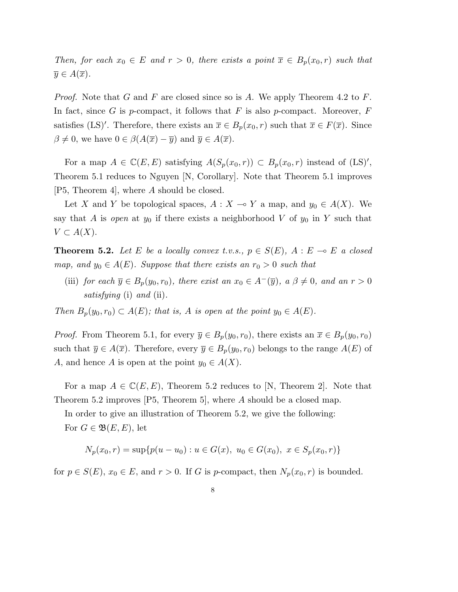Then, for each  $x_0 \in E$  and  $r > 0$ , there exists a point  $\overline{x} \in B_p(x_0,r)$  such that  $\overline{y} \in A(\overline{x}).$ 

*Proof.* Note that G and F are closed since so is A. We apply Theorem 4.2 to F. In fact, since G is p-compact, it follows that F is also p-compact. Moreover,  $F$ satisfies (LS)'. Therefore, there exists an  $\overline{x} \in B_p(x_0, r)$  such that  $\overline{x} \in F(\overline{x})$ . Since  $\beta \neq 0$ , we have  $0 \in \beta(A(\overline{x}) - \overline{y})$  and  $\overline{y} \in A(\overline{x})$ .

For a map  $A \in \mathbb{C}(E, E)$  satisfying  $A(S_p(x_0, r)) \subset B_p(x_0, r)$  instead of  $(LS)$ ', Theorem 5.1 reduces to Nguyen [N, Corollary]. Note that Theorem 5.1 improves [P5, Theorem 4], where A should be closed.

Let X and Y be topological spaces,  $A : X \to Y$  a map, and  $y_0 \in A(X)$ . We say that A is open at  $y_0$  if there exists a neighborhood V of  $y_0$  in Y such that  $V \subset A(X)$ .

**Theorem 5.2.** Let E be a locally convex t.v.s.,  $p \in S(E)$ ,  $A : E \multimap E$  a closed map, and  $y_0 \in A(E)$ . Suppose that there exists an  $r_0 > 0$  such that

(iii) for each  $\overline{y} \in B_p(y_0, r_0)$ , there exist an  $x_0 \in A^-(\overline{y})$ ,  $a \beta \neq 0$ , and an  $r > 0$ satisfying (i) and (ii).

Then  $B_p(y_0, r_0) \subset A(E)$ ; that is, A is open at the point  $y_0 \in A(E)$ .

*Proof.* From Theorem 5.1, for every  $\overline{y} \in B_p(y_0, r_0)$ , there exists an  $\overline{x} \in B_p(y_0, r_0)$ such that  $\overline{y} \in A(\overline{x})$ . Therefore, every  $\overline{y} \in B_p(y_0, r_0)$  belongs to the range  $A(E)$  of A, and hence A is open at the point  $y_0 \in A(X)$ .

For a map  $A \in \mathbb{C}(E, E)$ , Theorem 5.2 reduces to [N, Theorem 2]. Note that Theorem 5.2 improves [P5, Theorem 5], where A should be a closed map.

In order to give an illustration of Theorem 5.2, we give the following: For  $G \in \mathfrak{B}(E, E)$ , let

$$
N_p(x_0,r) = \sup\{p(u - u_0) : u \in G(x), u_0 \in G(x_0), x \in S_p(x_0,r)\}\
$$

for  $p \in S(E)$ ,  $x_0 \in E$ , and  $r > 0$ . If G is p-compact, then  $N_p(x_0, r)$  is bounded.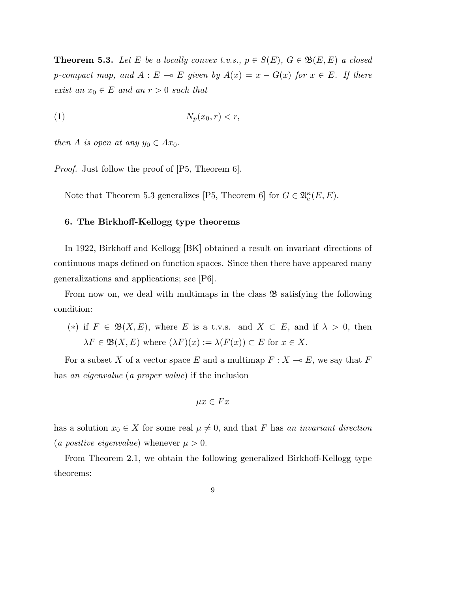**Theorem 5.3.** Let E be a locally convex t.v.s.,  $p \in S(E)$ ,  $G \in \mathfrak{B}(E, E)$  a closed p-compact map, and  $A : E \multimap E$  given by  $A(x) = x - G(x)$  for  $x \in E$ . If there exist an  $x_0 \in E$  and an  $r > 0$  such that

$$
(1) \t\t N_p(x_0, r) < r,
$$

then A is open at any  $y_0 \in Ax_0$ .

*Proof.* Just follow the proof of [P5, Theorem 6].

Note that Theorem 5.3 generalizes [P5, Theorem 6] for  $G \in \mathfrak{A}_{c}^{\kappa}(E,E)$ .

## 6. The Birkhoff-Kellogg type theorems

In 1922, Birkhoff and Kellogg [BK] obtained a result on invariant directions of continuous maps defined on function spaces. Since then there have appeared many generalizations and applications; see [P6].

From now on, we deal with multimaps in the class  $\mathfrak{B}$  satisfying the following condition:

(\*) if  $F \in \mathfrak{B}(X,E)$ , where E is a t.v.s. and  $X \subset E$ , and if  $\lambda > 0$ , then  $\lambda F \in \mathfrak{B}(X, E)$  where  $(\lambda F)(x) := \lambda (F(x)) \subset E$  for  $x \in X$ .

For a subset X of a vector space E and a multimap  $F : X \to E$ , we say that F has an eigenvalue (a proper value) if the inclusion

$$
\mu x \in Fx
$$

has a solution  $x_0 \in X$  for some real  $\mu \neq 0$ , and that F has an invariant direction (a positive eigenvalue) whenever  $\mu > 0$ .

From Theorem 2.1, we obtain the following generalized Birkhoff-Kellogg type theorems: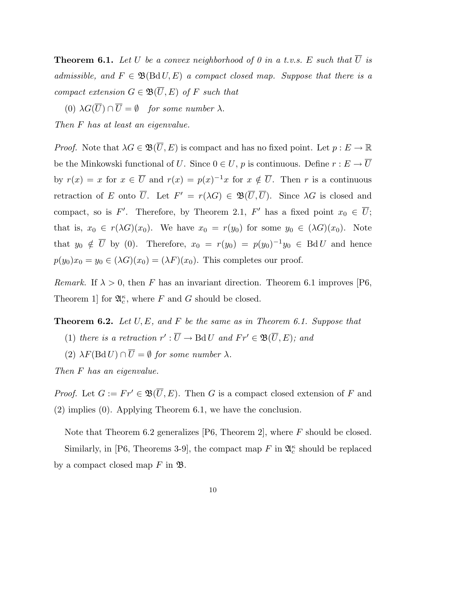**Theorem 6.1.** Let U be a convex neighborhood of 0 in a t.v.s. E such that  $\overline{U}$  is admissible, and  $F \in \mathfrak{B}(\text{Bd} U, E)$  a compact closed map. Suppose that there is a compact extension  $G \in \mathfrak{B}(\overline{U}, E)$  of F such that

(0)  $\lambda G(\overline{U}) \cap \overline{U} = \emptyset$  for some number  $\lambda$ . Then F has at least an eigenvalue.

*Proof.* Note that  $\lambda G \in \mathfrak{B}(\overline{U}, E)$  is compact and has no fixed point. Let  $p : E \to \mathbb{R}$ be the Minkowski functional of  $U.$  Since  $0\in U,$   $p$  is continuous. Define  $r:E\rightarrow \overline{U}$ by  $r(x) = x$  for  $x \in \overline{U}$  and  $r(x) = p(x)^{-1}x$  for  $x \notin \overline{U}$ . Then r is a continuous retraction of E onto  $\overline{U}$ . Let  $F' = r(\lambda G) \in \mathfrak{B}(\overline{U}, \overline{U})$ . Since  $\lambda G$  is closed and compact, so is F'. Therefore, by Theorem 2.1, F' has a fixed point  $x_0 \in \overline{U}$ ; that is,  $x_0 \in r(\lambda G)(x_0)$ . We have  $x_0 = r(y_0)$  for some  $y_0 \in (\lambda G)(x_0)$ . Note that  $y_0 \notin \overline{U}$  by (0). Therefore,  $x_0 = r(y_0) = p(y_0)^{-1}y_0 \in \text{Bd} U$  and hence  $p(y_0)x_0 = y_0 \in (\lambda G)(x_0) = (\lambda F)(x_0)$ . This completes our proof.

*Remark.* If  $\lambda > 0$ , then F has an invariant direction. Theorem 6.1 improves [P6, Theorem 1] for  $\mathfrak{A}_{c}^{\kappa}$ , where F and G should be closed.

**Theorem 6.2.** Let  $U, E$ , and F be the same as in Theorem 6.1. Suppose that (1) there is a retraction  $r': \overline{U} \to \text{Bd } U$  and  $Fr' \in \mathfrak{B}(\overline{U}, E)$ ; and

(2)  $\lambda F(\text{Bd }U) \cap \overline{U} = \emptyset$  for some number  $\lambda$ .

Then F has an eigenvalue.

*Proof.* Let  $G := Fr' \in \mathfrak{B}(\overline{U}, E)$ . Then G is a compact closed extension of F and (2) implies (0). Applying Theorem 6.1, we have the conclusion.

Note that Theorem 6.2 generalizes [P6, Theorem 2], where  $F$  should be closed. Similarly, in [P6, Theorems 3-9], the compact map  $F$  in  $\mathfrak{A}_{c}^{\kappa}$  should be replaced by a compact closed map  $F$  in  $\mathfrak{B}$ .